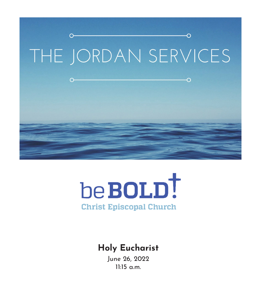



# **Holy Eucharist**

June 26, 2022 11:15 a.m.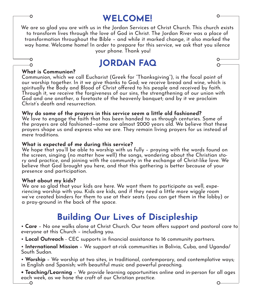# **WELCOME!**

We are so glad you are with us in the Jordan Services at Christ Church. This church exists to transform lives through the love of God in Christ. The Jordan River was a place of transformation throughout the Bible – and while it marked change, it also marked the way home. Welcome home! In order to prepare for this service, we ask that you silence your phone. Thank you!

# **JORDAN FAQ**

#### **What is Communion?**

Communion, which we call Eucharist (Greek for "Thanksgiving"), is the focal point of our worship together. In it we give thanks to God; we receive bread and wine, which is spiritually the Body and Blood of Christ offered to his people and received by faith. Through it, we receive the forgiveness of our sins, the strengthening of our union with God and one another, a foretaste of the heavenly banquet; and by it we proclaim Christ's death and resurrection.

### **Why do some of the prayers in this service seem a little old fashioned?**

We love to engage the faith that has been handed to us through centuries. Some of the prayers are old fashioned—some are almost 2000 years old. We believe that these prayers shape us and express who we are. They remain living prayers for us instead of mere traditions.

#### **What is expected of me during this service?**

We hope that you'll be able to worship with us fully – praying with the words found on the screen, singing (no matter how well) the songs, wondering about the Christian sto-<br>ry and practice, and joining with the community in the exchange of Christ-like love. We believe that God brought you here, and that this gathering is better because of your presence and participation.

#### **What about my kids?**

We are so glad that your kids are here. We want them to participate as well, experiencing worship with you. Kids are kids, and if they need a little more wiggle room we've created binders for them to use at their seats (you can get them in the lobby) or a pray-ground in the back of the space.

# **Building Our Lives of Discipleship**

• **Care** – No one walks alone at Christ Church. Our team offers support and pastoral care to everyone at this Church – including you.

• **Local Outreach** - CEC supports in financial assistance to 16 community partners.

• **International Mission** – We support at-risk communities in Bolivia, Cuba, and Uganda/ South Sudan.

• **Worship** – We worship at two sites, in traditional, contemporary, and contemplative ways; in English and Spanish; with beautiful music and powerful preaching.

**• Teaching/Learning** – We provide learning opportunities online and in-person for all ages each week, as we hone the craft of our Christian practice.  $\overline{O}$ O-

 $\overline{O}$ 

O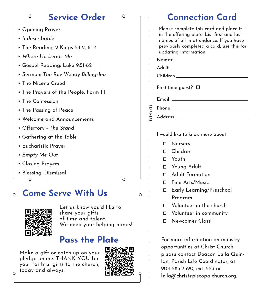### **Service Order**

∩

- Opening Prayer
- *Indescribable*

O

- The Reading: 2 Kings 2:1-2, 6-14
- *Where He Leads Me*
- Gospel Reading: Luke 9:51-62
- Sermon: *The Rev Wendy Billingslea*
- The Nicene Creed
- The Prayers of the People, Form III
- The Confession
- The Passing of Peace
- Welcome and Announcements
- Offertory *The Stand*
- Gathering at the Table
- Eucharistic Prayer
- *Empty Me Out*
- Closing Prayers
- Blessing, Dismissal $\Omega$

# **Come Serve With Us**



O

Let us know you'd like to share your gifts of time and talent. We need your helping hands!

# **Pass the Plate**

Make a gift or catch up on your pledge online. THANK YOU for your faithful gifts to the church, today and always!



∩−

| <b>Connection Card</b> |                                                                                                                                              |                                                                                                                                                                                                       |  |
|------------------------|----------------------------------------------------------------------------------------------------------------------------------------------|-------------------------------------------------------------------------------------------------------------------------------------------------------------------------------------------------------|--|
|                        |                                                                                                                                              | Please complete this card and place it<br>in the offering plate. List first and last<br>names of all in attendance. If you have<br>previously completed a card, use this for<br>updating information. |  |
|                        | Names:                                                                                                                                       |                                                                                                                                                                                                       |  |
|                        | Adult                                                                                                                                        |                                                                                                                                                                                                       |  |
|                        |                                                                                                                                              | Children                                                                                                                                                                                              |  |
|                        | First time guest? $\square$                                                                                                                  |                                                                                                                                                                                                       |  |
|                        | Email ____________                                                                                                                           |                                                                                                                                                                                                       |  |
|                        | Phone that the contract of the contract of the contract of the contract of the contract of the contract of the                               |                                                                                                                                                                                                       |  |
| <b>TEAR HERE</b>       | <b>Address</b>                                                                                                                               |                                                                                                                                                                                                       |  |
|                        |                                                                                                                                              |                                                                                                                                                                                                       |  |
|                        | I would like to know more about                                                                                                              |                                                                                                                                                                                                       |  |
|                        | п                                                                                                                                            | Nursery                                                                                                                                                                                               |  |
|                        | п                                                                                                                                            | Children                                                                                                                                                                                              |  |
|                        | п                                                                                                                                            | Youth                                                                                                                                                                                                 |  |
|                        | п                                                                                                                                            | Young Adult                                                                                                                                                                                           |  |
|                        | п                                                                                                                                            | <b>Adult Formation</b>                                                                                                                                                                                |  |
|                        | □                                                                                                                                            | Fine Arts/Music                                                                                                                                                                                       |  |
|                        | п                                                                                                                                            | Early Learning/Preschool                                                                                                                                                                              |  |
|                        |                                                                                                                                              | Program                                                                                                                                                                                               |  |
|                        | □                                                                                                                                            | Volunteer in the church                                                                                                                                                                               |  |
|                        | п                                                                                                                                            | Volunteer in community                                                                                                                                                                                |  |
|                        | п                                                                                                                                            | Newcomer Class                                                                                                                                                                                        |  |
|                        | For more information on ministry<br>opportunities at Christ Church,<br>please contact Deacon Leila Quin-<br>lan, Parish Life Coordinator, at |                                                                                                                                                                                                       |  |

904-285-7390, ext. 223 or leila@christepiscopalchurch.org.